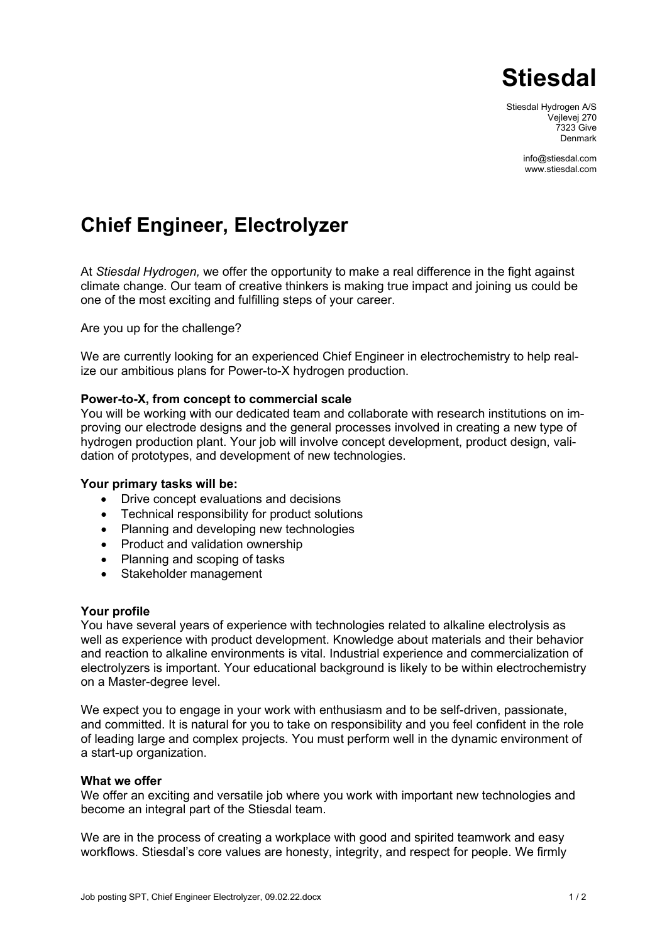

Stiesdal Hydrogen A/S Vejlevej 270 7323 Give Denmark

> [info@stiesdal.com](mailto:info@stiesdal.com) www.stiesdal.com

# **Chief Engineer, Electrolyzer**

At *Stiesdal Hydrogen,* we offer the opportunity to make a real difference in the fight against climate change. Our team of creative thinkers is making true impact and joining us could be one of the most exciting and fulfilling steps of your career.

Are you up for the challenge?

We are currently looking for an experienced Chief Engineer in electrochemistry to help realize our ambitious plans for Power-to-X hydrogen production.

## **Power-to-X, from concept to commercial scale**

You will be working with our dedicated team and collaborate with research institutions on improving our electrode designs and the general processes involved in creating a new type of hydrogen production plant. Your job will involve concept development, product design, validation of prototypes, and development of new technologies.

#### **Your primary tasks will be:**

- Drive concept evaluations and decisions
- Technical responsibility for product solutions
- Planning and developing new technologies
- Product and validation ownership
- Planning and scoping of tasks
- Stakeholder management

#### **Your profile**

You have several years of experience with technologies related to alkaline electrolysis as well as experience with product development. Knowledge about materials and their behavior and reaction to alkaline environments is vital. Industrial experience and commercialization of electrolyzers is important. Your educational background is likely to be within electrochemistry on a Master-degree level.

We expect you to engage in your work with enthusiasm and to be self-driven, passionate, and committed. It is natural for you to take on responsibility and you feel confident in the role of leading large and complex projects. You must perform well in the dynamic environment of a start-up organization.

#### **What we offer**

We offer an exciting and versatile job where you work with important new technologies and become an integral part of the Stiesdal team.

We are in the process of creating a workplace with good and spirited teamwork and easy workflows. Stiesdal's core values are honesty, integrity, and respect for people. We firmly